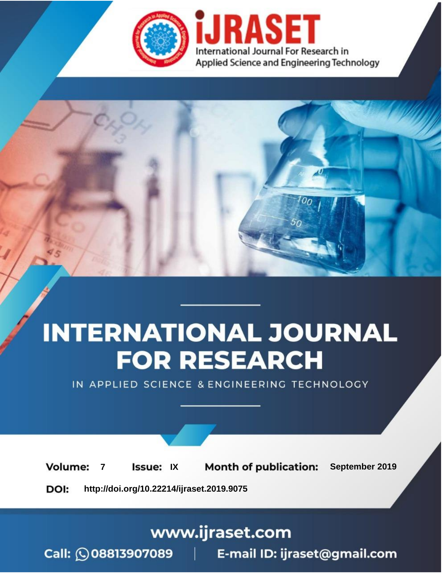

# **INTERNATIONAL JOURNAL FOR RESEARCH**

IN APPLIED SCIENCE & ENGINEERING TECHNOLOGY

**Month of publication: Volume: Issue: IX** September 2019  $\overline{7}$ DOI: http://doi.org/10.22214/ijraset.2019.9075

www.ijraset.com

 $Call: \bigcirc$ 08813907089 E-mail ID: ijraset@gmail.com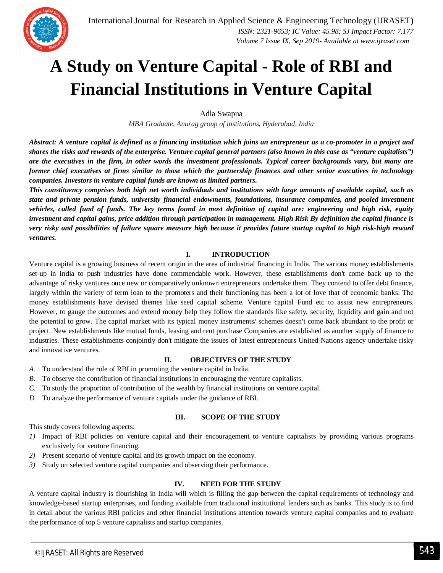

### **A Study on Venture Capital - Role of RBI and Financial Institutions in Venture Capital**

Adla Swapna

*MBA Graduate, Anurag group of institutions, Hyderabad, India*

*Abstract: A venture capital is defined as a financing institution which joins an entrepreneur as a co-promoter in a project and shares the risks and rewards of the enterprise. Venture capital general partners (also known in this case as "venture capitalists") are the executives in the firm, in other words the investment professionals. Typical career backgrounds vary, but many are former chief executives at firms similar to those which the partnership finances and other senior executives in technology companies. Investors in venture capital funds are known as limited partners.* 

*This constituency comprises both high net worth individuals and institutions with large amounts of available capital, such as state and private pension funds, university financial endowments, foundations, insurance companies, and pooled investment vehicles, called fund of funds. The key terms found in most definition of capital are: engineering and high risk, equity investment and capital gains, price addition through participation in management. High Risk By definition the capital finance is very risky and possibilities of failure square measure high because it provides future startup capital to high risk-high reward ventures.*

#### **I. INTRODUCTION**

Venture capital is a growing business of recent origin in the area of industrial financing in India. The various money establishments set-up in India to push industries have done commendable work. However, these establishments don't come back up to the advantage of risky ventures once new or comparatively unknown entrepreneurs undertake them. They contend to offer debt finance, largely within the variety of term loan to the promoters and their functioning has been a lot of love that of economic banks. The money establishments have devised themes like seed capital scheme. Venture capital Fund etc to assist new entrepreneurs. However, to gauge the outcomes and extend money help they follow the standards like safety, security, liquidity and gain and not the potential to grow. The capital market with its typical money instruments/ schemes doesn't come back abundant to the profit or project. New establishments like mutual funds, leasing and rent purchase Companies are established as another supply of finance to industries. These establishments conjointly don't mitigate the issues of latest entrepreneurs United Nations agency undertake risky and innovative ventures.

#### **II. OBJECTIVES OF THE STUDY**

- *A.* To understand the role of RBI in promoting the venture capital in India.
- *B.* To observe the contribution of financial institutions in encouraging the venture capitalists.
- *C.* To study the proportion of contribution of the wealth by financial institutions on venture capital.
- *D.* To analyze the performance of venture capitals under the guidance of RBI.

#### **III. SCOPE OF THE STUDY**

This study covers following aspects:

- *1)* Impact of RBI policies on venture capital and their encouragement to venture capitalists by providing various programs exclusively for venture financing.
- *2)* Present scenario of venture capital and its growth impact on the economy.
- *3)* Study on selected venture capital companies and observing their performance.

#### **IV. NEED FOR THE STUDY**

A venture capital industry is flourishing in India will which is filling the gap between the capital requirements of technology and knowledge-based startup enterprises, and funding available from traditional institutional lenders such as banks. This study is to find in detail about the various RBI policies and other financial institutions attention towards venture capital companies and to evaluate the performance of top 5 venture capitalists and startup companies.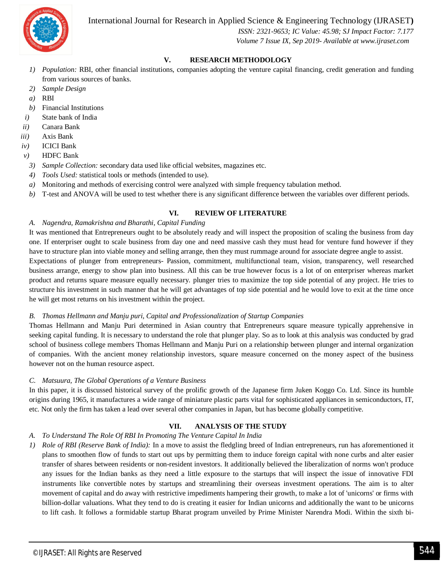International Journal for Research in Applied Science & Engineering Technology (IJRASET**)**



 *ISSN: 2321-9653; IC Value: 45.98; SJ Impact Factor: 7.177 Volume 7 Issue IX, Sep 2019- Available at www.ijraset.com*

#### **V. RESEARCH METHODOLOGY**

- *1) Population:* RBI, other financial institutions, companies adopting the venture capital financing, credit generation and funding from various sources of banks.
- *2) Sample Design*
- *a)* RBI
- *b)* Financial Institutions
- *i)* State bank of India
- *ii)* Canara Bank
- *iii)* Axis Bank
- *iv)* ICICI Bank
- *v)* HDFC Bank
- *3) Sample Collection:* secondary data used like official websites, magazines etc.
- *4) Tools Used:* statistical tools or methods (intended to use).
- *a)* Monitoring and methods of exercising control were analyzed with simple frequency tabulation method.
- *b)* T-test and ANOVA will be used to test whether there is any significant difference between the variables over different periods.

#### **VI. REVIEW OF LITERATURE**

#### *A. Nagendra, Ramakrishna and Bharathi, Capital Funding*

It was mentioned that Entrepreneurs ought to be absolutely ready and will inspect the proposition of scaling the business from day one. If enterpriser ought to scale business from day one and need massive cash they must head for venture fund however if they have to structure plan into viable money and selling arrange, then they must rummage around for associate degree angle to assist.

Expectations of plunger from entrepreneurs- Passion, commitment, multifunctional team, vision, transparency, well researched business arrange, energy to show plan into business. All this can be true however focus is a lot of on enterpriser whereas market product and returns square measure equally necessary. plunger tries to maximize the top side potential of any project. He tries to structure his investment in such manner that he will get advantages of top side potential and he would love to exit at the time once he will get most returns on his investment within the project.

#### *B. Thomas Hellmann and Manju puri, Capital and Professionalization of Startup Companies*

Thomas Hellmann and Manju Puri determined in Asian country that Entrepreneurs square measure typically apprehensive in seeking capital funding. It is necessary to understand the role that plunger play. So as to look at this analysis was conducted by grad school of business college members Thomas Hellmann and Manju Puri on a relationship between plunger and internal organization of companies. With the ancient money relationship investors, square measure concerned on the money aspect of the business however not on the human resource aspect.

#### *C. Matsuura, The Global Operations of a Venture Business*

In this paper, it is discussed historical survey of the prolific growth of the Japanese firm Juken Koggo Co. Ltd. Since its humble origins during 1965, it manufactures a wide range of miniature plastic parts vital for sophisticated appliances in semiconductors, IT, etc. Not only the firm has taken a lead over several other companies in Japan, but has become globally competitive.

#### **VII. ANALYSIS OF THE STUDY**

#### *A. To Understand The Role Of RBI In Promoting The Venture Capital In India*

*1) Role of RBI (Reserve Bank of India):* In a move to assist the fledgling breed of Indian entrepreneurs, run has aforementioned it plans to smoothen flow of funds to start out ups by permitting them to induce foreign capital with none curbs and alter easier transfer of shares between residents or non-resident investors. It additionally believed the liberalization of norms won't produce any issues for the Indian banks as they need a little exposure to the startups that will inspect the issue of innovative FDI instruments like convertible notes by startups and streamlining their overseas investment operations. The aim is to alter movement of capital and do away with restrictive impediments hampering their growth, to make a lot of 'unicorns' or firms with billion-dollar valuations. What they tend to do is creating it easier for Indian unicorns and additionally the want to be unicorns to lift cash. It follows a formidable startup Bharat program unveiled by Prime Minister Narendra Modi. Within the sixth bi-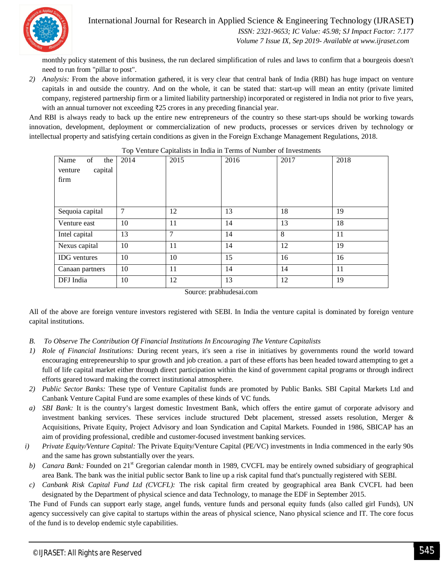

 *ISSN: 2321-9653; IC Value: 45.98; SJ Impact Factor: 7.177 Volume 7 Issue IX, Sep 2019- Available at www.ijraset.com*

monthly policy statement of this business, the run declared simplification of rules and laws to confirm that a bourgeois doesn't need to run from "pillar to post".

*2) Analysis:* From the above information gathered, it is very clear that central bank of India (RBI) has huge impact on venture capitals in and outside the country. And on the whole, it can be stated that: start-up will mean an entity (private limited company, registered partnership firm or a limited liability partnership) incorporated or registered in India not prior to five years, with an annual turnover not exceeding ₹25 crores in any preceding financial year.

And RBI is always ready to back up the entire new entrepreneurs of the country so these start-ups should be working towards innovation, development, deployment or commercialization of new products, processes or services driven by technology or intellectual property and satisfying certain conditions as given in the Foreign Exchange Management Regulations, 2018.

|                                         |      | л.     |      |      |      |
|-----------------------------------------|------|--------|------|------|------|
| of<br>Name<br>the<br>capital<br>venture | 2014 | 2015   | 2016 | 2017 | 2018 |
| firm                                    |      |        |      |      |      |
|                                         |      |        |      |      |      |
| Sequoia capital                         | 7    | 12     | 13   | 18   | 19   |
| Venture east                            | 10   | 11     | 14   | 13   | 18   |
| Intel capital                           | 13   | $\tau$ | 14   | 8    | 11   |
| Nexus capital                           | 10   | 11     | 14   | 12   | 19   |
| <b>IDG</b> ventures                     | 10   | 10     | 15   | 16   | 16   |
| Canaan partners                         | 10   | 11     | 14   | 14   | 11   |
| DFJ India                               | 10   | 12     | 13   | 12   | 19   |
|                                         |      |        |      |      |      |

| Top Venture Capitalists in India in Terms of Number of Investments |  |
|--------------------------------------------------------------------|--|
|--------------------------------------------------------------------|--|

Source: prabhudesai.com

All of the above are foreign venture investors registered with SEBI. In India the venture capital is dominated by foreign venture capital institutions.

- *B. To Observe The Contribution Of Financial Institutions In Encouraging The Venture Capitalists*
- *1) Role of Financial Institutions:* During recent years, it's seen a rise in initiatives by governments round the world toward encouraging entrepreneurship to spur growth and job creation. a part of these efforts has been headed toward attempting to get a full of life capital market either through direct participation within the kind of government capital programs or through indirect efforts geared toward making the correct institutional atmosphere.
- *2) Public Sector Banks:* These type of Venture Capitalist funds are promoted by Public Banks. SBI Capital Markets Ltd and Canbank Venture Capital Fund are some examples of these kinds of VC funds.
- *a) SBI Bank:* It is the country's largest domestic Investment Bank, which offers the entire gamut of corporate advisory and investment banking services. These services include structured Debt placement, stressed assets resolution, Merger & Acquisitions, Private Equity, Project Advisory and loan Syndication and Capital Markets. Founded in 1986, SBICAP has an aim of providing professional, credible and customer-focused investment banking services.
- *i) Private Equity/Venture Capital:* The Private Equity/Venture Capital (PE/VC) investments in India commenced in the early 90s and the same has grown substantially over the years.
- *b) Canara Bank:* Founded on 21<sup>st</sup> Gregorian calendar month in 1989, CVCFL may be entirely owned subsidiary of geographical area Bank. The bank was the initial public sector Bank to line up a risk capital fund that's punctually registered with SEBI.
- *c) Canbank Risk Capital Fund Ltd (CVCFL):* The risk capital firm created by geographical area Bank CVCFL had been designated by the Department of physical science and data Technology, to manage the EDF in September 2015.

The Fund of Funds can support early stage, angel funds, venture funds and personal equity funds (also called girl Funds), UN agency successively can give capital to startups within the areas of physical science, Nano physical science and IT. The core focus of the fund is to develop endemic style capabilities.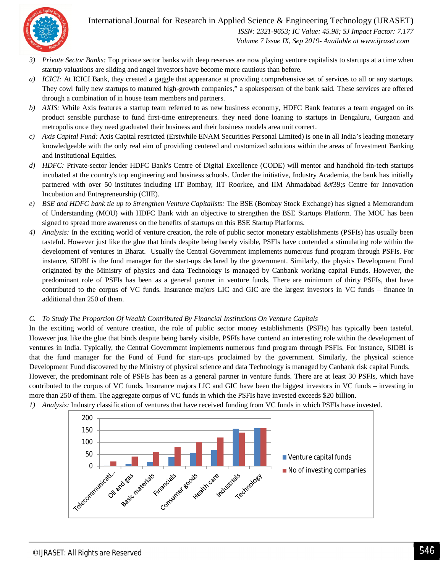International Journal for Research in Applied Science & Engineering Technology (IJRASET**)**



 *ISSN: 2321-9653; IC Value: 45.98; SJ Impact Factor: 7.177 Volume 7 Issue IX, Sep 2019- Available at www.ijraset.com*

- *3) Private Sector Banks:* Top private sector banks with deep reserves are now playing venture capitalists to startups at a time when startup valuations are sliding and angel investors have become more cautious than before.
- *a) ICICI:* At ICICI Bank, they created a gaggle that appearance at providing comprehensive set of services to all or any startups. They cowl fully new startups to matured high-growth companies," a spokesperson of the bank said. These services are offered through a combination of in house team members and partners.
- *b) AXIS:* While Axis features a startup team referred to as new business economy, HDFC Bank features a team engaged on its product sensible purchase to fund first-time entrepreneurs. they need done loaning to startups in Bengaluru, Gurgaon and metropolis once they need graduated their business and their business models area unit correct.
- *c) Axis Capital Fund:* Axis Capital restricted (Erstwhile ENAM Securities Personal Limited) is one in all India's leading monetary knowledgeable with the only real aim of providing centered and customized solutions within the areas of Investment Banking and Institutional Equities.
- *d) HDFC:* Private-sector lender HDFC Bank's Centre of Digital Excellence (CODE) will mentor and handhold fin-tech startups incubated at the country's top engineering and business schools. Under the initiative, Industry Academia, the bank has initially partnered with over 50 institutes including IIT Bombay, IIT Roorkee, and IIM Ahmadabad ' Centre for Innovation Incubation and Entrepreneurship (CIIE).
- *e) BSE and HDFC bank tie up to Strengthen Venture Capitalists:* The BSE (Bombay Stock Exchange) has signed a Memorandum of Understanding (MOU) with HDFC Bank with an objective to strengthen the BSE Startups Platform. The MOU has been signed to spread more awareness on the benefits of startups on this BSE Startup Platforms.
- *4) Analysis:* In the exciting world of venture creation, the role of public sector monetary establishments (PSFIs) has usually been tasteful. However just like the glue that binds despite being barely visible, PSFIs have contended a stimulating role within the development of ventures in Bharat. Usually the Central Government implements numerous fund program through PSFIs. For instance, SIDBI is the fund manager for the start-ups declared by the government. Similarly, the physics Development Fund originated by the Ministry of physics and data Technology is managed by Canbank working capital Funds. However, the predominant role of PSFIs has been as a general partner in venture funds. There are minimum of thirty PSFIs, that have contributed to the corpus of VC funds. Insurance majors LIC and GIC are the largest investors in VC funds – finance in additional than 250 of them.

#### *C. To Study The Proportion Of Wealth Contributed By Financial Institutions On Venture Capitals*

In the exciting world of venture creation, the role of public sector money establishments (PSFIs) has typically been tasteful. However just like the glue that binds despite being barely visible, PSFIs have contend an interesting role within the development of ventures in India. Typically, the Central Government implements numerous fund program through PSFIs. For instance, SIDBI is that the fund manager for the Fund of Fund for start-ups proclaimed by the government. Similarly, the physical science Development Fund discovered by the Ministry of physical science and data Technology is managed by Canbank risk capital Funds. However, the predominant role of PSFIs has been as a general partner in venture funds. There are at least 30 PSFIs, which have contributed to the corpus of VC funds. Insurance majors LIC and GIC have been the biggest investors in VC funds – investing in more than 250 of them. The aggregate corpus of VC funds in which the PSFIs have invested exceeds \$20 billion.



*1) Analysis:* Industry classification of ventures that have received funding from VC funds in which PSFIs have invested.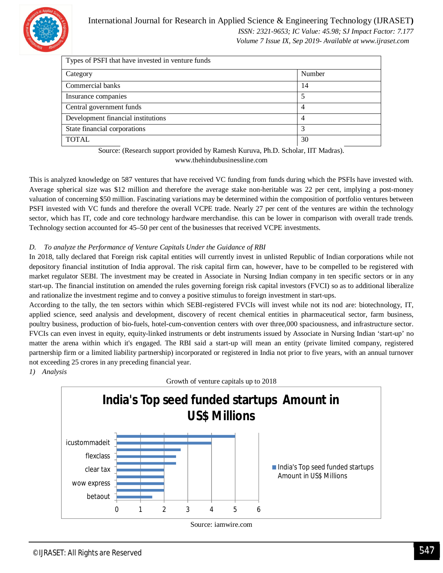

 *Volume 7 Issue IX, Sep 2019- Available at www.ijraset.com*

| Types of PSFI that have invested in venture funds |        |  |  |  |
|---------------------------------------------------|--------|--|--|--|
| Category                                          | Number |  |  |  |
| Commercial banks                                  | 14     |  |  |  |
| Insurance companies                               | 5      |  |  |  |
| Central government funds                          | 4      |  |  |  |
| Development financial institutions                | 4      |  |  |  |
| State financial corporations                      | 3      |  |  |  |
| <b>TOTAL</b>                                      | 30     |  |  |  |

Source: (Research support provided by Ramesh Kuruva, Ph.D. Scholar, IIT Madras). www.thehindubusinessline.com

This is analyzed knowledge on 587 ventures that have received VC funding from funds during which the PSFIs have invested with. Average spherical size was \$12 million and therefore the average stake non-heritable was 22 per cent, implying a post-money valuation of concerning \$50 million. Fascinating variations may be determined within the composition of portfolio ventures between PSFI invested with VC funds and therefore the overall VCPE trade. Nearly 27 per cent of the ventures are within the technology sector, which has IT, code and core technology hardware merchandise. this can be lower in comparison with overall trade trends. Technology section accounted for 45–50 per cent of the businesses that received VCPE investments.

#### *D. To analyze the Performance of Venture Capitals Under the Guidance of RBI*

In 2018, tally declared that Foreign risk capital entities will currently invest in unlisted Republic of Indian corporations while not depository financial institution of India approval. The risk capital firm can, however, have to be compelled to be registered with market regulator SEBI. The investment may be created in Associate in Nursing Indian company in ten specific sectors or in any start-up. The financial institution on amended the rules governing foreign risk capital investors (FVCI) so as to additional liberalize and rationalize the investment regime and to convey a positive stimulus to foreign investment in start-ups.

According to the tally, the ten sectors within which SEBI-registered FVCIs will invest while not its nod are: biotechnology, IT, applied science, seed analysis and development, discovery of recent chemical entities in pharmaceutical sector, farm business, poultry business, production of bio-fuels, hotel-cum-convention centers with over three,000 spaciousness, and infrastructure sector. FVCIs can even invest in equity, equity-linked instruments or debt instruments issued by Associate in Nursing Indian 'start-up' no matter the arena within which it's engaged. The RBI said a start-up will mean an entity (private limited company, registered partnership firm or a limited liability partnership) incorporated or registered in India not prior to five years, with an annual turnover not exceeding 25 crores in any preceding financial year.

*1) Analysis*

Growth of venture capitals up to 2018

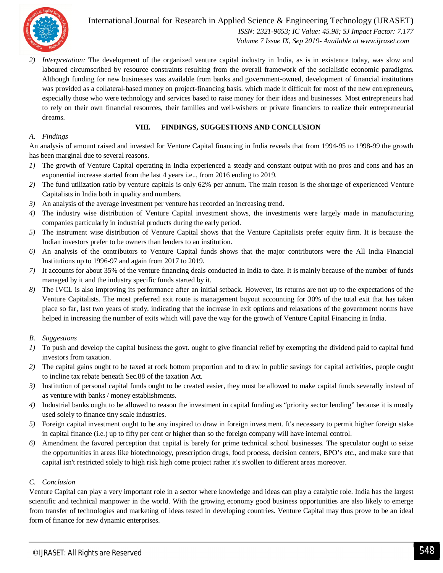

International Journal for Research in Applied Science & Engineering Technology (IJRASET**)**  *ISSN: 2321-9653; IC Value: 45.98; SJ Impact Factor: 7.177*

 *Volume 7 Issue IX, Sep 2019- Available at www.ijraset.com*

*2) Interpretation:* The development of the organized venture capital industry in India, as is in existence today, was slow and laboured circumscribed by resource constraints resulting from the overall framework of the socialistic economic paradigms. Although funding for new businesses was available from banks and government-owned, development of financial institutions was provided as a collateral-based money on project-financing basis. which made it difficult for most of the new entrepreneurs, especially those who were technology and services based to raise money for their ideas and businesses. Most entrepreneurs had to rely on their own financial resources, their families and well-wishers or private financiers to realize their entrepreneurial dreams.

#### **VIII. FINDINGS, SUGGESTIONS AND CONCLUSION**

#### *A. Findings*

An analysis of amount raised and invested for Venture Capital financing in India reveals that from 1994-95 to 1998-99 the growth has been marginal due to several reasons.

- *1)* The growth of Venture Capital operating in India experienced a steady and constant output with no pros and cons and has an exponential increase started from the last 4 years i.e.., from 2016 ending to 2019.
- *2)* The fund utilization ratio by venture capitals is only 62% per annum. The main reason is the shortage of experienced Venture Capitalists in India both in quality and numbers.
- *3)* An analysis of the average investment per venture has recorded an increasing trend.
- *4)* The industry wise distribution of Venture Capital investment shows, the investments were largely made in manufacturing companies particularly in industrial products during the early period.
- *5)* The instrument wise distribution of Venture Capital shows that the Venture Capitalists prefer equity firm. It is because the Indian investors prefer to be owners than lenders to an institution.
- *6)* An analysis of the contributors to Venture Capital funds shows that the major contributors were the All India Financial Institutions up to 1996-97 and again from 2017 to 2019.
- *7)* It accounts for about 35% of the venture financing deals conducted in India to date. It is mainly because of the number of funds managed by it and the industry specific funds started by it.
- *8)* The IVCL is also improving its performance after an initial setback. However, its returns are not up to the expectations of the Venture Capitalists. The most preferred exit route is management buyout accounting for 30% of the total exit that has taken place so far, last two years of study, indicating that the increase in exit options and relaxations of the government norms have helped in increasing the number of exits which will pave the way for the growth of Venture Capital Financing in India.

#### *B. Suggestions*

- *1)* To push and develop the capital business the govt. ought to give financial relief by exempting the dividend paid to capital fund investors from taxation.
- *2)* The capital gains ought to be taxed at rock bottom proportion and to draw in public savings for capital activities, people ought to incline tax rebate beneath Sec.88 of the taxation Act.
- *3)* Institution of personal capital funds ought to be created easier, they must be allowed to make capital funds severally instead of as venture with banks / money establishments.
- *4)* Industrial banks ought to be allowed to reason the investment in capital funding as "priority sector lending" because it is mostly used solely to finance tiny scale industries.
- *5)* Foreign capital investment ought to be any inspired to draw in foreign investment. It's necessary to permit higher foreign stake in capital finance (i.e.) up to fifty per cent or higher than so the foreign company will have internal control.
- *6)* Amendment the favored perception that capital is barely for prime technical school businesses. The speculator ought to seize the opportunities in areas like biotechnology, prescription drugs, food process, decision centers, BPO's etc., and make sure that capital isn't restricted solely to high risk high come project rather it's swollen to different areas moreover.

#### *C. Conclusion*

Venture Capital can play a very important role in a sector where knowledge and ideas can play a catalytic role. India has the largest scientific and technical manpower in the world. With the growing economy good business opportunities are also likely to emerge from transfer of technologies and marketing of ideas tested in developing countries. Venture Capital may thus prove to be an ideal form of finance for new dynamic enterprises.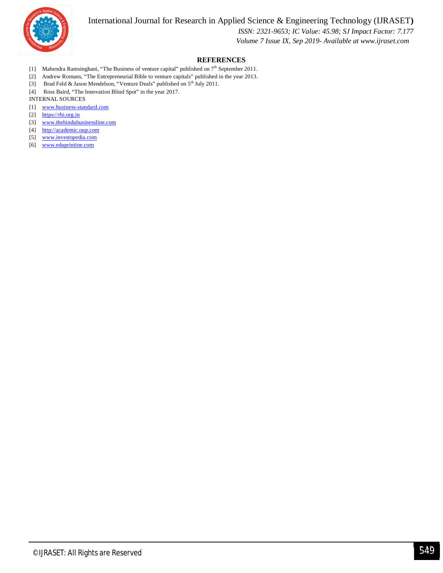International Journal for Research in Applied Science & Engineering Technology (IJRASET**)**



 *ISSN: 2321-9653; IC Value: 45.98; SJ Impact Factor: 7.177 Volume 7 Issue IX, Sep 2019- Available at www.ijraset.com*

#### **REFERENCES**

- [1] Mahendra Ramsinghani, "The Business of venture capital" published on  $7<sup>th</sup>$  September 2011.
- [2] Andrew Romans, "The Entrepreneurial Bible to venture capitals" published in the year 2013.
- [3] Brad Feld & Jason Mendelson, "Venture Deals" published on 5<sup>th</sup> July 2011.
- [4] Ross Baird, "The Innovation Blind Spot" in the year 2017.

#### INTERNAL SOURCES

- [1] www.business-standard.com
- [2] https://rbi.org.in
- [3] www.thehindubusinessline.com
- [4] http://academic.oup.com
- [5] www.investopedia.com
- [6] www.eduprintine.com